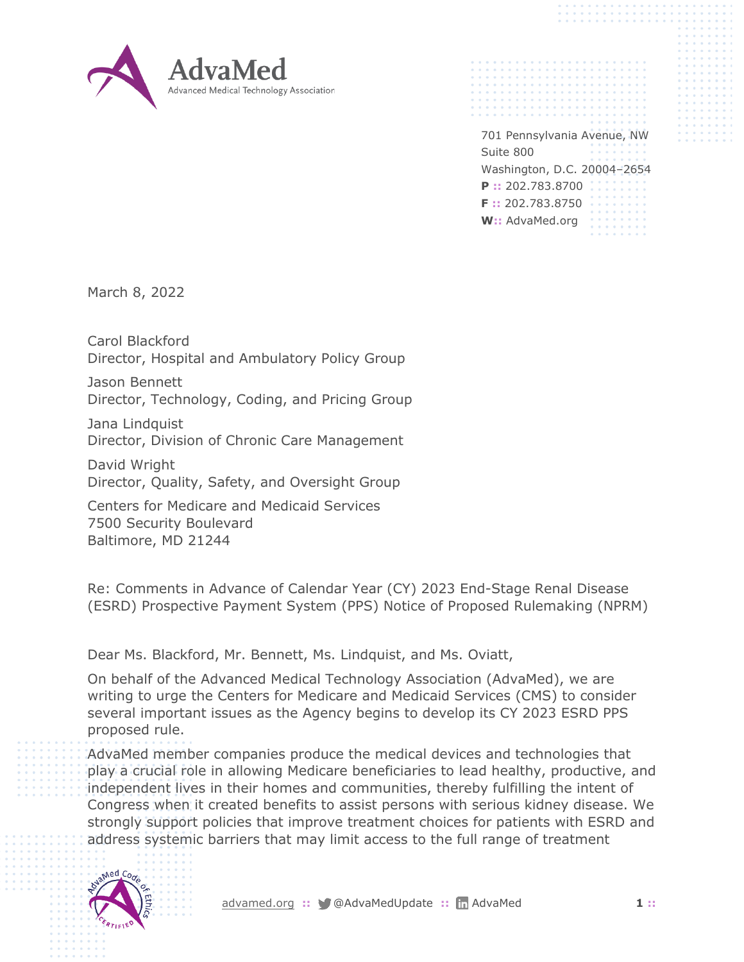

701 Pennsylvania Avenue, NW Suite 800 Washington, D.C. 20004–2654 **P ::** 202.783.8700 **F ::** 202.783.8750 **W::** AdvaMed.org

March 8, 2022

Carol Blackford Director, Hospital and Ambulatory Policy Group

Jason Bennett Director, Technology, Coding, and Pricing Group

Jana Lindquist Director, Division of Chronic Care Management

David Wright Director, Quality, Safety, and Oversight Group

Centers for Medicare and Medicaid Services 7500 Security Boulevard Baltimore, MD 21244

Re: Comments in Advance of Calendar Year (CY) 2023 End-Stage Renal Disease (ESRD) Prospective Payment System (PPS) Notice of Proposed Rulemaking (NPRM)

Dear Ms. Blackford, Mr. Bennett, Ms. Lindquist, and Ms. Oviatt,

On behalf of the Advanced Medical Technology Association (AdvaMed), we are writing to urge the Centers for Medicare and Medicaid Services (CMS) to consider several important issues as the Agency begins to develop its CY 2023 ESRD PPS proposed rule.

AdvaMed member companies produce the medical devices and technologies that play a crucial role in allowing Medicare beneficiaries to lead healthy, productive, and independent lives in their homes and communities, thereby fulfilling the intent of Congress when it created benefits to assist persons with serious kidney disease. We strongly support policies that improve treatment choices for patients with ESRD and address systemic barriers that may limit access to the full range of treatment

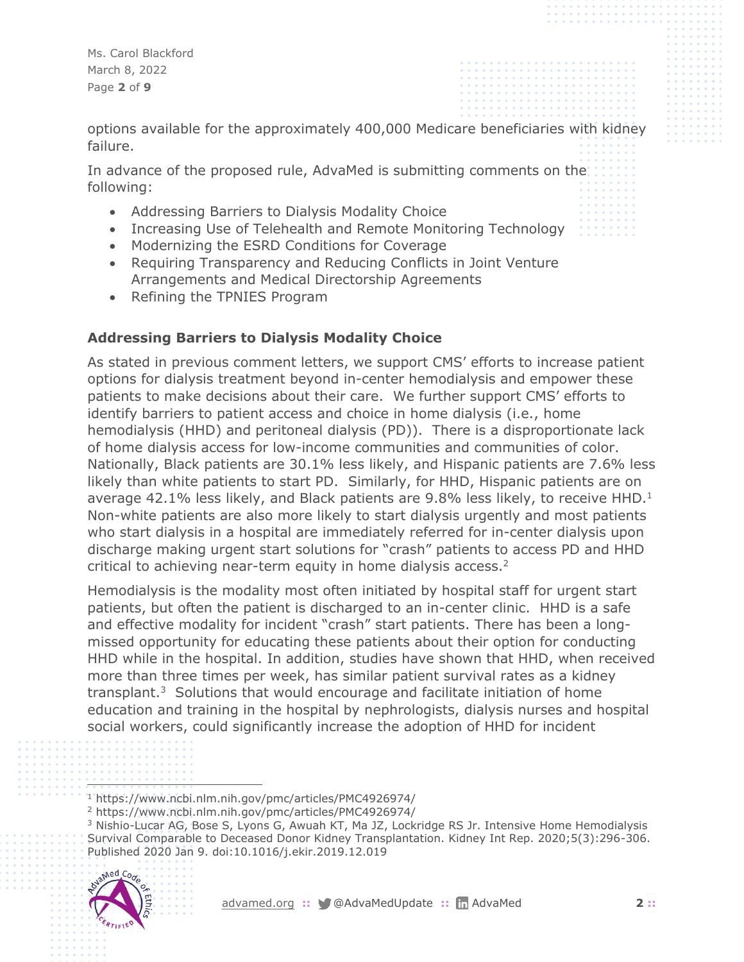Ms. Carol Blackford March 8, 2022 Page **2** of **9**

options available for the approximately 400,000 Medicare beneficiaries with kidney failure.

In advance of the proposed rule, AdvaMed is submitting comments on the following:

- Addressing Barriers to Dialysis Modality Choice
- Increasing Use of Telehealth and Remote Monitoring Technology
- Modernizing the ESRD Conditions for Coverage
- Requiring Transparency and Reducing Conflicts in Joint Venture Arrangements and Medical Directorship Agreements
- Refining the TPNIES Program

## **Addressing Barriers to Dialysis Modality Choice**

As stated in previous comment letters, we support CMS' efforts to increase patient options for dialysis treatment beyond in-center hemodialysis and empower these patients to make decisions about their care. We further support CMS' efforts to identify barriers to patient access and choice in home dialysis (i.e., home hemodialysis (HHD) and peritoneal dialysis (PD)). There is a disproportionate lack of home dialysis access for low-income communities and communities of color. Nationally, Black patients are 30.1% less likely, and Hispanic patients are 7.6% less likely than white patients to start PD. Similarly, for HHD, Hispanic patients are on average 42.1% less likely, and Black patients are 9.8% less likely, to receive HHD. $1$ Non-white patients are also more likely to start dialysis urgently and most patients who start dialysis in a hospital are immediately referred for in-center dialysis upon discharge making urgent start solutions for "crash" patients to access PD and HHD critical to achieving near-term equity in home dialysis access.<sup>2</sup>

Hemodialysis is the modality most often initiated by hospital staff for urgent start patients, but often the patient is discharged to an in-center clinic. HHD is a safe and effective modality for incident "crash" start patients. There has been a longmissed opportunity for educating these patients about their option for conducting HHD while in the hospital. In addition, studies have shown that HHD, when received more than three times per week, has similar patient survival rates as a kidney transplant.<sup>3</sup> Solutions that would encourage and facilitate initiation of home education and training in the hospital by nephrologists, dialysis nurses and hospital social workers, could significantly increase the adoption of HHD for incident

<sup>&</sup>lt;sup>3</sup> Nishio-Lucar AG, Bose S, Lyons G, Awuah KT, Ma JZ, Lockridge RS Jr. Intensive Home Hemodialysis Survival Comparable to Deceased Donor Kidney Transplantation. Kidney Int Rep. 2020;5(3):296-306. Published 2020 Jan 9. doi:10.1016/j.ekir.2019.12.019



<sup>1</sup> https://www.ncbi.nlm.nih.gov/pmc/articles/PMC4926974/

<sup>2</sup> https://www.ncbi.nlm.nih.gov/pmc/articles/PMC4926974/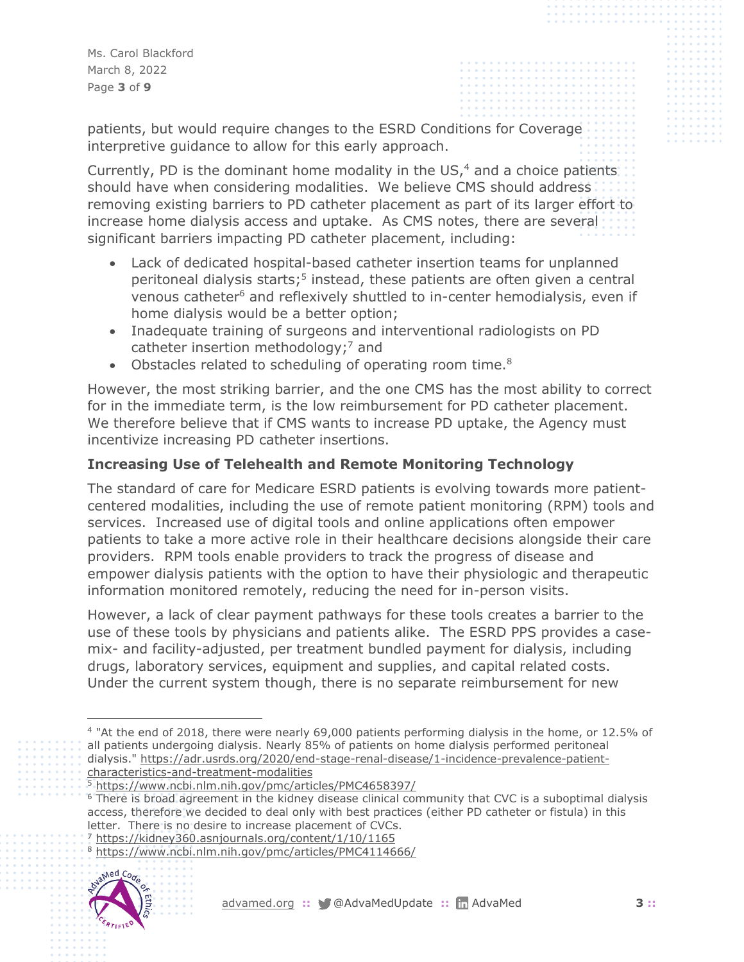Ms. Carol Blackford March 8, 2022 Page **3** of **9**

patients, but would require changes to the ESRD Conditions for Coverage interpretive guidance to allow for this early approach.

Currently, PD is the dominant home modality in the US, $4$  and a choice patients. should have when considering modalities. We believe CMS should address removing existing barriers to PD catheter placement as part of its larger effort to increase home dialysis access and uptake. As CMS notes, there are several significant barriers impacting PD catheter placement, including:

- Lack of dedicated hospital-based catheter insertion teams for unplanned peritoneal dialysis starts;<sup>5</sup> instead, these patients are often given a central venous catheter<sup>6</sup> and reflexively shuttled to in-center hemodialysis, even if home dialysis would be a better option;
- Inadequate training of surgeons and interventional radiologists on PD catheter insertion methodology;<sup>7</sup> and
- Obstacles related to scheduling of operating room time.<sup>8</sup>

However, the most striking barrier, and the one CMS has the most ability to correct for in the immediate term, is the low reimbursement for PD catheter placement. We therefore believe that if CMS wants to increase PD uptake, the Agency must incentivize increasing PD catheter insertions.

# **Increasing Use of Telehealth and Remote Monitoring Technology**

The standard of care for Medicare ESRD patients is evolving towards more patientcentered modalities, including the use of remote patient monitoring (RPM) tools and services. Increased use of digital tools and online applications often empower patients to take a more active role in their healthcare decisions alongside their care providers. RPM tools enable providers to track the progress of disease and empower dialysis patients with the option to have their physiologic and therapeutic information monitored remotely, reducing the need for in-person visits.

However, a lack of clear payment pathways for these tools creates a barrier to the use of these tools by physicians and patients alike. The ESRD PPS provides a casemix- and facility-adjusted, per treatment bundled payment for dialysis, including drugs, laboratory services, equipment and supplies, and capital related costs. Under the current system though, there is no separate reimbursement for new

<sup>7</sup> <https://kidney360.asnjournals.org/content/1/10/1165>

<sup>8</sup> <https://www.ncbi.nlm.nih.gov/pmc/articles/PMC4114666/>



<sup>4</sup> "At the end of 2018, there were nearly 69,000 patients performing dialysis in the home, or 12.5% of all patients undergoing dialysis. Nearly 85% of patients on home dialysis performed peritoneal dialysis." [https://adr.usrds.org/2020/end-stage-renal-disease/1-incidence-prevalence-patient](https://adr.usrds.org/2020/end-stage-renal-disease/1-incidence-prevalence-patient-characteristics-and-treatment-modalities)[characteristics-and-treatment-modalities](https://adr.usrds.org/2020/end-stage-renal-disease/1-incidence-prevalence-patient-characteristics-and-treatment-modalities)

<sup>5</sup> <https://www.ncbi.nlm.nih.gov/pmc/articles/PMC4658397/>

<sup>&</sup>lt;sup>6</sup> There is broad agreement in the kidney disease clinical community that CVC is a suboptimal dialysis access, therefore we decided to deal only with best practices (either PD catheter or fistula) in this letter. There is no desire to increase placement of CVCs.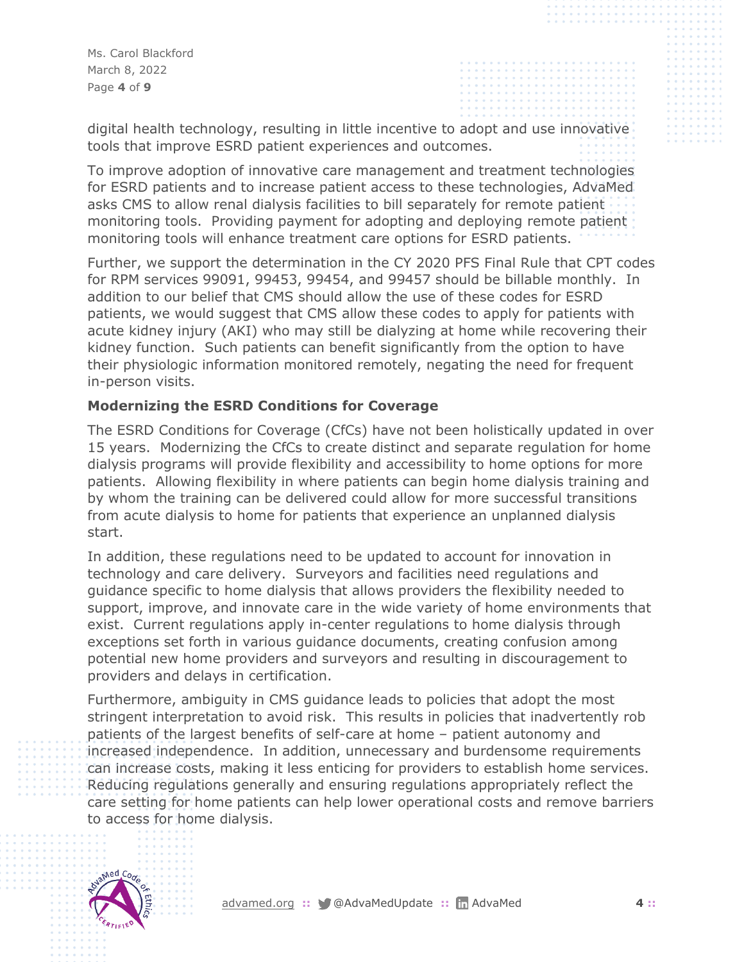Ms. Carol Blackford March 8, 2022 Page **4** of **9**

digital health technology, resulting in little incentive to adopt and use innovative tools that improve ESRD patient experiences and outcomes.

To improve adoption of innovative care management and treatment technologies for ESRD patients and to increase patient access to these technologies, AdvaMed asks CMS to allow renal dialysis facilities to bill separately for remote patient monitoring tools. Providing payment for adopting and deploying remote patient monitoring tools will enhance treatment care options for ESRD patients.

Further, we support the determination in the CY 2020 PFS Final Rule that CPT codes for RPM services 99091, 99453, 99454, and 99457 should be billable monthly. In addition to our belief that CMS should allow the use of these codes for ESRD patients, we would suggest that CMS allow these codes to apply for patients with acute kidney injury (AKI) who may still be dialyzing at home while recovering their kidney function. Such patients can benefit significantly from the option to have their physiologic information monitored remotely, negating the need for frequent in-person visits.

## **Modernizing the ESRD Conditions for Coverage**

The ESRD Conditions for Coverage (CfCs) have not been holistically updated in over 15 years. Modernizing the CfCs to create distinct and separate regulation for home dialysis programs will provide flexibility and accessibility to home options for more patients. Allowing flexibility in where patients can begin home dialysis training and by whom the training can be delivered could allow for more successful transitions from acute dialysis to home for patients that experience an unplanned dialysis start.

In addition, these regulations need to be updated to account for innovation in technology and care delivery. Surveyors and facilities need regulations and guidance specific to home dialysis that allows providers the flexibility needed to support, improve, and innovate care in the wide variety of home environments that exist. Current regulations apply in-center regulations to home dialysis through exceptions set forth in various guidance documents, creating confusion among potential new home providers and surveyors and resulting in discouragement to providers and delays in certification.

Furthermore, ambiguity in CMS guidance leads to policies that adopt the most stringent interpretation to avoid risk. This results in policies that inadvertently rob patients of the largest benefits of self-care at home – patient autonomy and increased independence. In addition, unnecessary and burdensome requirements can increase costs, making it less enticing for providers to establish home services. Reducing regulations generally and ensuring regulations appropriately reflect the care setting for home patients can help lower operational costs and remove barriers to access for home dialysis.

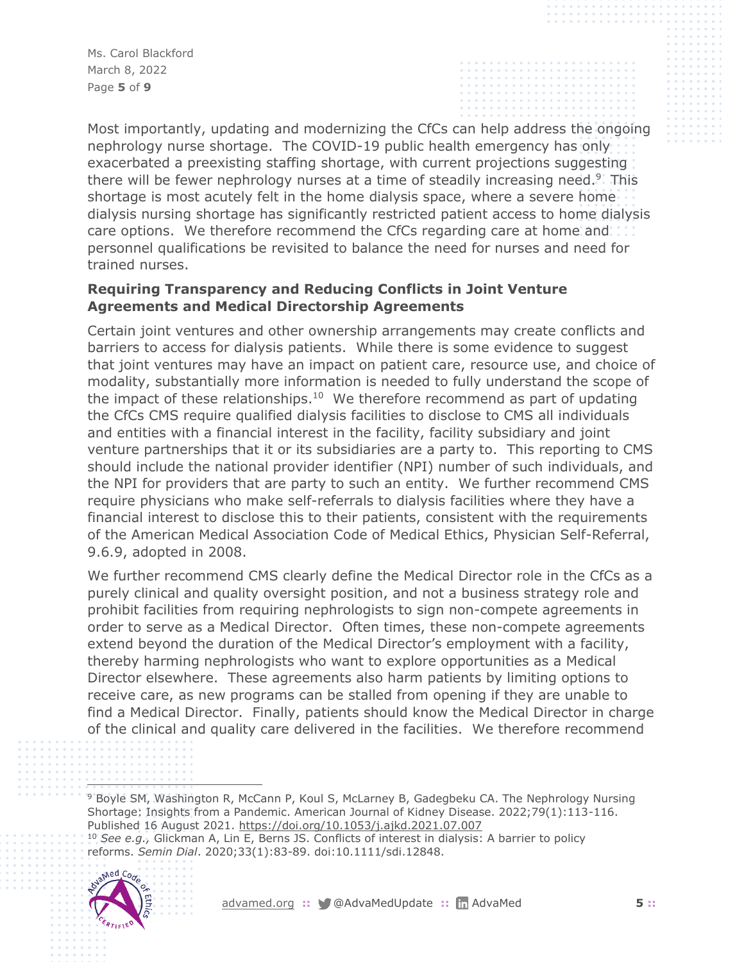Ms. Carol Blackford March 8, 2022 Page **5** of **9**

Most importantly, updating and modernizing the CfCs can help address the ongoing nephrology nurse shortage. The COVID-19 public health emergency has only exacerbated a preexisting staffing shortage, with current projections suggesting there will be fewer nephrology nurses at a time of steadily increasing need.<sup>9</sup>. This shortage is most acutely felt in the home dialysis space, where a severe home dialysis nursing shortage has significantly restricted patient access to home dialysis care options. We therefore recommend the CfCs regarding care at home and personnel qualifications be revisited to balance the need for nurses and need for trained nurses.

## **Requiring Transparency and Reducing Conflicts in Joint Venture Agreements and Medical Directorship Agreements**

Certain joint ventures and other ownership arrangements may create conflicts and barriers to access for dialysis patients. While there is some evidence to suggest that joint ventures may have an impact on patient care, resource use, and choice of modality, substantially more information is needed to fully understand the scope of the impact of these relationships.<sup>10</sup> We therefore recommend as part of updating the CfCs CMS require qualified dialysis facilities to disclose to CMS all individuals and entities with a financial interest in the facility, facility subsidiary and joint venture partnerships that it or its subsidiaries are a party to. This reporting to CMS should include the national provider identifier (NPI) number of such individuals, and the NPI for providers that are party to such an entity. We further recommend CMS require physicians who make self-referrals to dialysis facilities where they have a financial interest to disclose this to their patients, consistent with the requirements of the American Medical Association Code of Medical Ethics, Physician Self-Referral, 9.6.9, adopted in 2008.

We further recommend CMS clearly define the Medical Director role in the CfCs as a purely clinical and quality oversight position, and not a business strategy role and prohibit facilities from requiring nephrologists to sign non-compete agreements in order to serve as a Medical Director. Often times, these non-compete agreements extend beyond the duration of the Medical Director's employment with a facility, thereby harming nephrologists who want to explore opportunities as a Medical Director elsewhere. These agreements also harm patients by limiting options to receive care, as new programs can be stalled from opening if they are unable to find a Medical Director. Finally, patients should know the Medical Director in charge of the clinical and quality care delivered in the facilities. We therefore recommend

<sup>10</sup> *See e.g.,* Glickman A, Lin E, Berns JS. Conflicts of interest in dialysis: A barrier to policy reforms. *Semin Dial*. 2020;33(1):83-89. doi:10.1111/sdi.12848.



<sup>9</sup> Boyle SM, Washington R, McCann P, Koul S, McLarney B, Gadegbeku CA. The Nephrology Nursing Shortage: Insights from a Pandemic. American Journal of Kidney Disease. 2022;79(1):113-116. Published 16 August 2021.<https://doi.org/10.1053/j.ajkd.2021.07.007>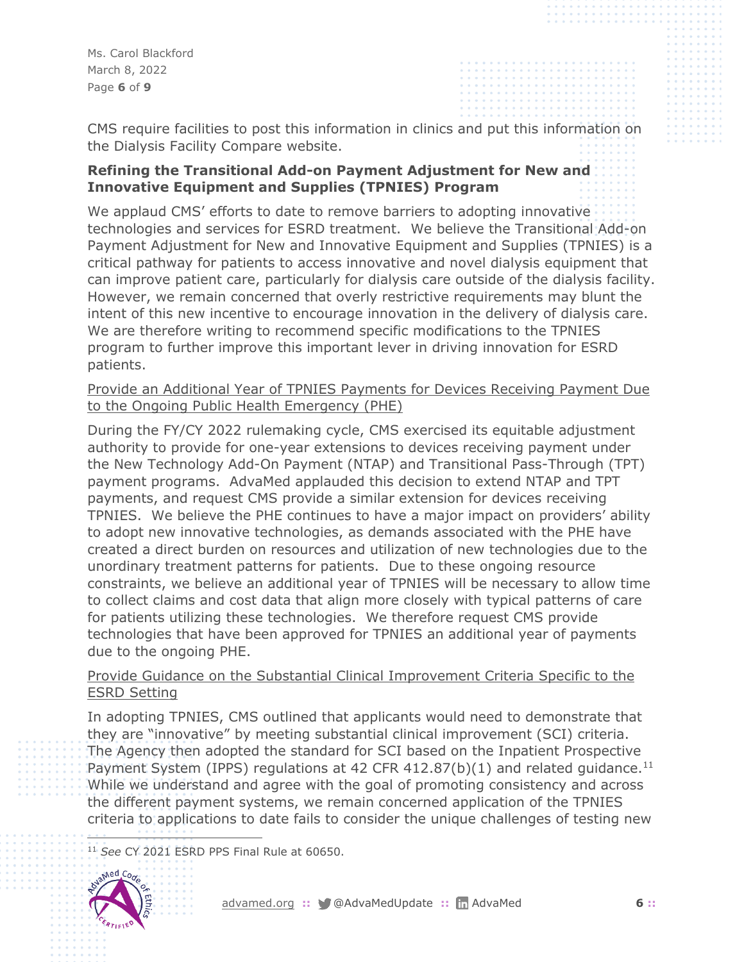Ms. Carol Blackford March 8, 2022 Page **6** of **9**

CMS require facilities to post this information in clinics and put this information on the Dialysis Facility Compare website.

## **Refining the Transitional Add-on Payment Adjustment for New and Innovative Equipment and Supplies (TPNIES) Program**

We applaud CMS' efforts to date to remove barriers to adopting innovative technologies and services for ESRD treatment. We believe the Transitional Add-on Payment Adjustment for New and Innovative Equipment and Supplies (TPNIES) is a critical pathway for patients to access innovative and novel dialysis equipment that can improve patient care, particularly for dialysis care outside of the dialysis facility. However, we remain concerned that overly restrictive requirements may blunt the intent of this new incentive to encourage innovation in the delivery of dialysis care. We are therefore writing to recommend specific modifications to the TPNIES program to further improve this important lever in driving innovation for ESRD patients.

## Provide an Additional Year of TPNIES Payments for Devices Receiving Payment Due to the Ongoing Public Health Emergency (PHE)

During the FY/CY 2022 rulemaking cycle, CMS exercised its equitable adjustment authority to provide for one-year extensions to devices receiving payment under the New Technology Add-On Payment (NTAP) and Transitional Pass-Through (TPT) payment programs. AdvaMed applauded this decision to extend NTAP and TPT payments, and request CMS provide a similar extension for devices receiving TPNIES. We believe the PHE continues to have a major impact on providers' ability to adopt new innovative technologies, as demands associated with the PHE have created a direct burden on resources and utilization of new technologies due to the unordinary treatment patterns for patients. Due to these ongoing resource constraints, we believe an additional year of TPNIES will be necessary to allow time to collect claims and cost data that align more closely with typical patterns of care for patients utilizing these technologies. We therefore request CMS provide technologies that have been approved for TPNIES an additional year of payments due to the ongoing PHE.

## Provide Guidance on the Substantial Clinical Improvement Criteria Specific to the ESRD Setting

In adopting TPNIES, CMS outlined that applicants would need to demonstrate that they are "innovative" by meeting substantial clinical improvement (SCI) criteria. The Agency then adopted the standard for SCI based on the Inpatient Prospective Payment System (IPPS) regulations at 42 CFR 412.87(b)(1) and related guidance.<sup>11</sup> While we understand and agree with the goal of promoting consistency and across the different payment systems, we remain concerned application of the TPNIES criteria to applications to date fails to consider the unique challenges of testing new

<sup>11</sup> *See* CY 2021 ESRD PPS Final Rule at 60650.

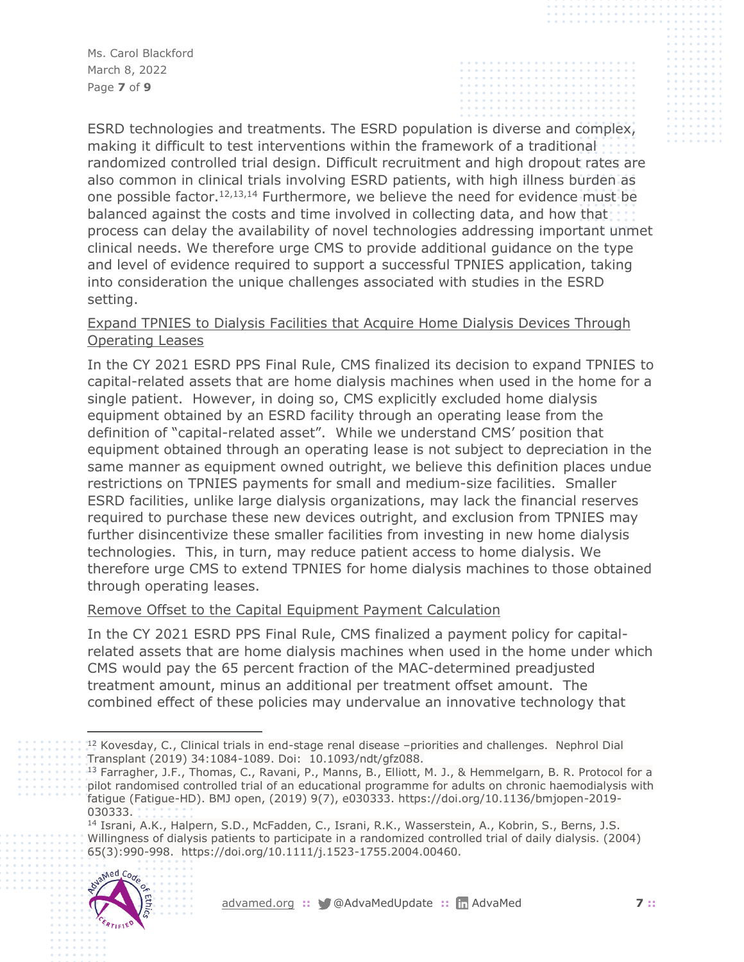Ms. Carol Blackford March 8, 2022 Page **7** of **9**

ESRD technologies and treatments. The ESRD population is diverse and complex, making it difficult to test interventions within the framework of a traditional randomized controlled trial design. Difficult recruitment and high dropout rates are also common in clinical trials involving ESRD patients, with high illness burden as one possible factor.12,13,14 Furthermore, we believe the need for evidence must be balanced against the costs and time involved in collecting data, and how that process can delay the availability of novel technologies addressing important unmet clinical needs. We therefore urge CMS to provide additional guidance on the type and level of evidence required to support a successful TPNIES application, taking into consideration the unique challenges associated with studies in the ESRD setting.

## Expand TPNIES to Dialysis Facilities that Acquire Home Dialysis Devices Through Operating Leases

In the CY 2021 ESRD PPS Final Rule, CMS finalized its decision to expand TPNIES to capital-related assets that are home dialysis machines when used in the home for a single patient. However, in doing so, CMS explicitly excluded home dialysis equipment obtained by an ESRD facility through an operating lease from the definition of "capital-related asset". While we understand CMS' position that equipment obtained through an operating lease is not subject to depreciation in the same manner as equipment owned outright, we believe this definition places undue restrictions on TPNIES payments for small and medium-size facilities. Smaller ESRD facilities, unlike large dialysis organizations, may lack the financial reserves required to purchase these new devices outright, and exclusion from TPNIES may further disincentivize these smaller facilities from investing in new home dialysis technologies. This, in turn, may reduce patient access to home dialysis. We therefore urge CMS to extend TPNIES for home dialysis machines to those obtained through operating leases.

## Remove Offset to the Capital Equipment Payment Calculation

In the CY 2021 ESRD PPS Final Rule, CMS finalized a payment policy for capitalrelated assets that are home dialysis machines when used in the home under which CMS would pay the 65 percent fraction of the MAC-determined preadjusted treatment amount, minus an additional per treatment offset amount. The combined effect of these policies may undervalue an innovative technology that

<sup>&</sup>lt;sup>14</sup> Israni, A.K., Halpern, S.D., McFadden, C., Israni, R.K., Wasserstein, A., Kobrin, S., Berns, J.S. Willingness of dialysis patients to participate in a randomized controlled trial of daily dialysis. (2004) 65(3):990-998. https://doi.org/10.1111/j.1523-1755.2004.00460.



<sup>12</sup> Kovesday, C., Clinical trials in end-stage renal disease –priorities and challenges. Nephrol Dial Transplant (2019) 34:1084-1089. Doi: 10.1093/ndt/gfz088.

<sup>&</sup>lt;sup>13</sup> Farragher, J.F., Thomas, C., Ravani, P., Manns, B., Elliott, M. J., & Hemmelgarn, B. R. Protocol for a pilot randomised controlled trial of an educational programme for adults on chronic haemodialysis with fatigue (Fatigue-HD). BMJ open, (2019) 9(7), e030333. https://doi.org/10.1136/bmjopen-2019- 030333.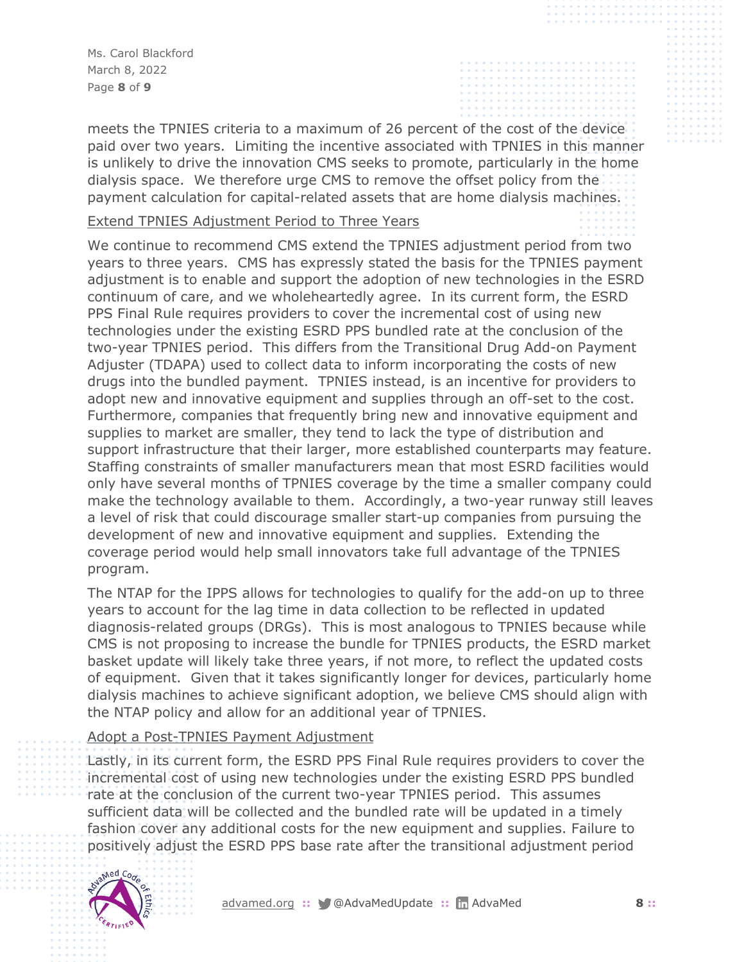Ms. Carol Blackford March 8, 2022 Page **8** of **9**

meets the TPNIES criteria to a maximum of 26 percent of the cost of the device paid over two years. Limiting the incentive associated with TPNIES in this manner is unlikely to drive the innovation CMS seeks to promote, particularly in the home dialysis space. We therefore urge CMS to remove the offset policy from the payment calculation for capital-related assets that are home dialysis machines.

#### Extend TPNIES Adjustment Period to Three Years

We continue to recommend CMS extend the TPNIES adjustment period from two years to three years. CMS has expressly stated the basis for the TPNIES payment adjustment is to enable and support the adoption of new technologies in the ESRD continuum of care, and we wholeheartedly agree. In its current form, the ESRD PPS Final Rule requires providers to cover the incremental cost of using new technologies under the existing ESRD PPS bundled rate at the conclusion of the two-year TPNIES period. This differs from the Transitional Drug Add-on Payment Adjuster (TDAPA) used to collect data to inform incorporating the costs of new drugs into the bundled payment. TPNIES instead, is an incentive for providers to adopt new and innovative equipment and supplies through an off-set to the cost. Furthermore, companies that frequently bring new and innovative equipment and supplies to market are smaller, they tend to lack the type of distribution and support infrastructure that their larger, more established counterparts may feature. Staffing constraints of smaller manufacturers mean that most ESRD facilities would only have several months of TPNIES coverage by the time a smaller company could make the technology available to them. Accordingly, a two-year runway still leaves a level of risk that could discourage smaller start-up companies from pursuing the development of new and innovative equipment and supplies. Extending the coverage period would help small innovators take full advantage of the TPNIES program.

The NTAP for the IPPS allows for technologies to qualify for the add-on up to three years to account for the lag time in data collection to be reflected in updated diagnosis-related groups (DRGs). This is most analogous to TPNIES because while CMS is not proposing to increase the bundle for TPNIES products, the ESRD market basket update will likely take three years, if not more, to reflect the updated costs of equipment. Given that it takes significantly longer for devices, particularly home dialysis machines to achieve significant adoption, we believe CMS should align with the NTAP policy and allow for an additional year of TPNIES.

#### Adopt a Post-TPNIES Payment Adjustment

Lastly, in its current form, the ESRD PPS Final Rule requires providers to cover the incremental cost of using new technologies under the existing ESRD PPS bundled rate at the conclusion of the current two-year TPNIES period. This assumes sufficient data will be collected and the bundled rate will be updated in a timely fashion cover any additional costs for the new equipment and supplies. Failure to positively adjust the ESRD PPS base rate after the transitional adjustment period